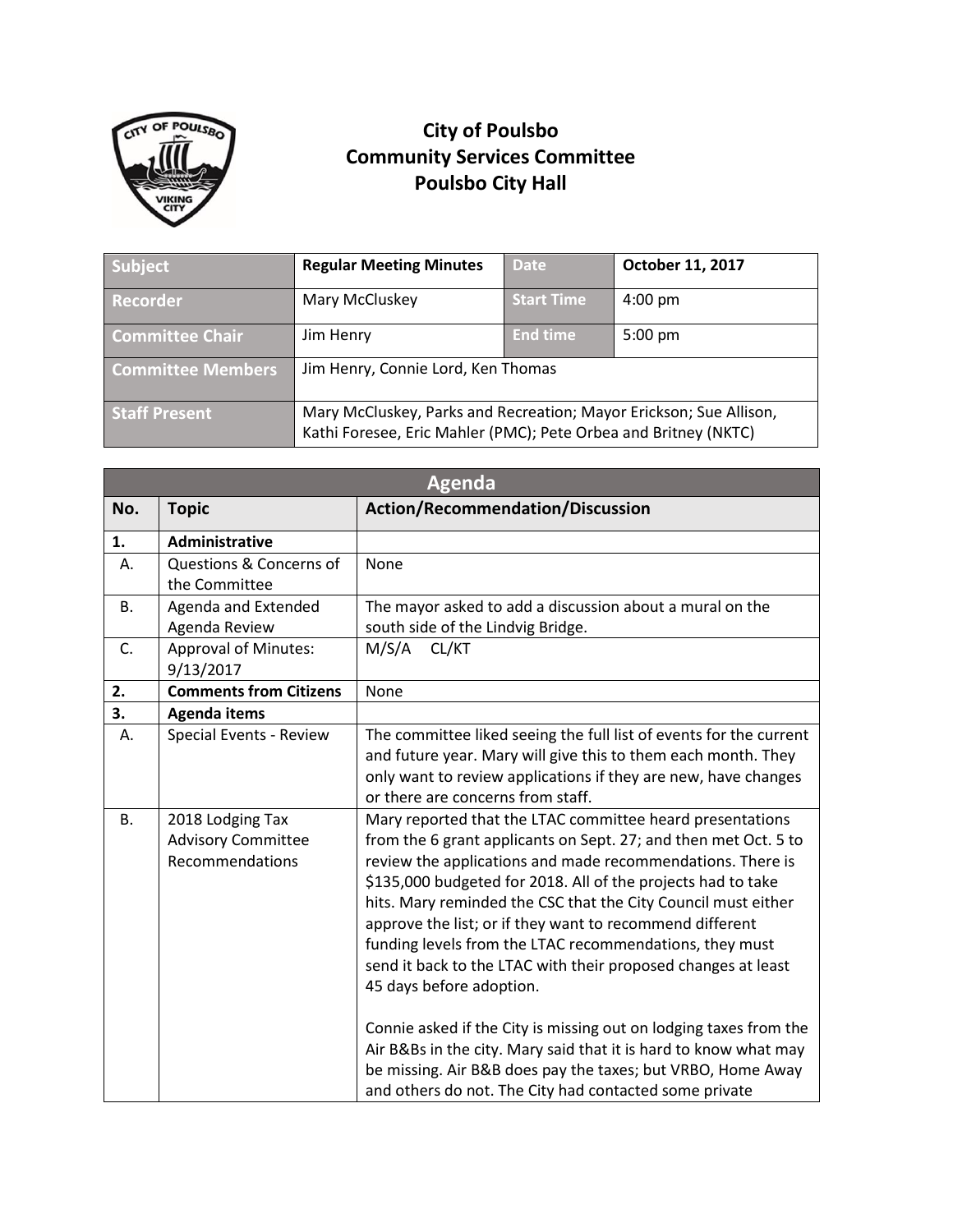

## **City of Poulsbo Community Services Committee Poulsbo City Hall**

| Subject                  | <b>Regular Meeting Minutes</b>                                                                                                        | <b>Date</b>       | October 11, 2017  |
|--------------------------|---------------------------------------------------------------------------------------------------------------------------------------|-------------------|-------------------|
| Recorder                 | Mary McCluskey                                                                                                                        | <b>Start Time</b> | $4:00 \text{ pm}$ |
| <b>Committee Chair</b>   | Jim Henry                                                                                                                             | <b>End time</b>   | $5:00 \text{ pm}$ |
| <b>Committee Members</b> | Jim Henry, Connie Lord, Ken Thomas                                                                                                    |                   |                   |
| <b>Staff Present</b>     | Mary McCluskey, Parks and Recreation; Mayor Erickson; Sue Allison,<br>Kathi Foresee, Eric Mahler (PMC); Pete Orbea and Britney (NKTC) |                   |                   |

| <b>Agenda</b> |                                                                  |                                                                                                                                                                                                                                                                                                                                                                                                                                                                                                                                                 |  |
|---------------|------------------------------------------------------------------|-------------------------------------------------------------------------------------------------------------------------------------------------------------------------------------------------------------------------------------------------------------------------------------------------------------------------------------------------------------------------------------------------------------------------------------------------------------------------------------------------------------------------------------------------|--|
| No.           | <b>Topic</b>                                                     | <b>Action/Recommendation/Discussion</b>                                                                                                                                                                                                                                                                                                                                                                                                                                                                                                         |  |
| 1.            | Administrative                                                   |                                                                                                                                                                                                                                                                                                                                                                                                                                                                                                                                                 |  |
| А.            | <b>Questions &amp; Concerns of</b><br>the Committee              | None                                                                                                                                                                                                                                                                                                                                                                                                                                                                                                                                            |  |
| <b>B.</b>     | Agenda and Extended<br>Agenda Review                             | The mayor asked to add a discussion about a mural on the<br>south side of the Lindvig Bridge.                                                                                                                                                                                                                                                                                                                                                                                                                                                   |  |
| C.            | <b>Approval of Minutes:</b><br>9/13/2017                         | CL/KT<br>M/S/A                                                                                                                                                                                                                                                                                                                                                                                                                                                                                                                                  |  |
| 2.            | <b>Comments from Citizens</b>                                    | None                                                                                                                                                                                                                                                                                                                                                                                                                                                                                                                                            |  |
| 3.            | Agenda items                                                     |                                                                                                                                                                                                                                                                                                                                                                                                                                                                                                                                                 |  |
| А.            | <b>Special Events - Review</b>                                   | The committee liked seeing the full list of events for the current<br>and future year. Mary will give this to them each month. They<br>only want to review applications if they are new, have changes<br>or there are concerns from staff.                                                                                                                                                                                                                                                                                                      |  |
| <b>B.</b>     | 2018 Lodging Tax<br><b>Advisory Committee</b><br>Recommendations | Mary reported that the LTAC committee heard presentations<br>from the 6 grant applicants on Sept. 27; and then met Oct. 5 to<br>review the applications and made recommendations. There is<br>\$135,000 budgeted for 2018. All of the projects had to take<br>hits. Mary reminded the CSC that the City Council must either<br>approve the list; or if they want to recommend different<br>funding levels from the LTAC recommendations, they must<br>send it back to the LTAC with their proposed changes at least<br>45 days before adoption. |  |
|               |                                                                  | Connie asked if the City is missing out on lodging taxes from the<br>Air B&Bs in the city. Mary said that it is hard to know what may<br>be missing. Air B&B does pay the taxes; but VRBO, Home Away<br>and others do not. The City had contacted some private                                                                                                                                                                                                                                                                                  |  |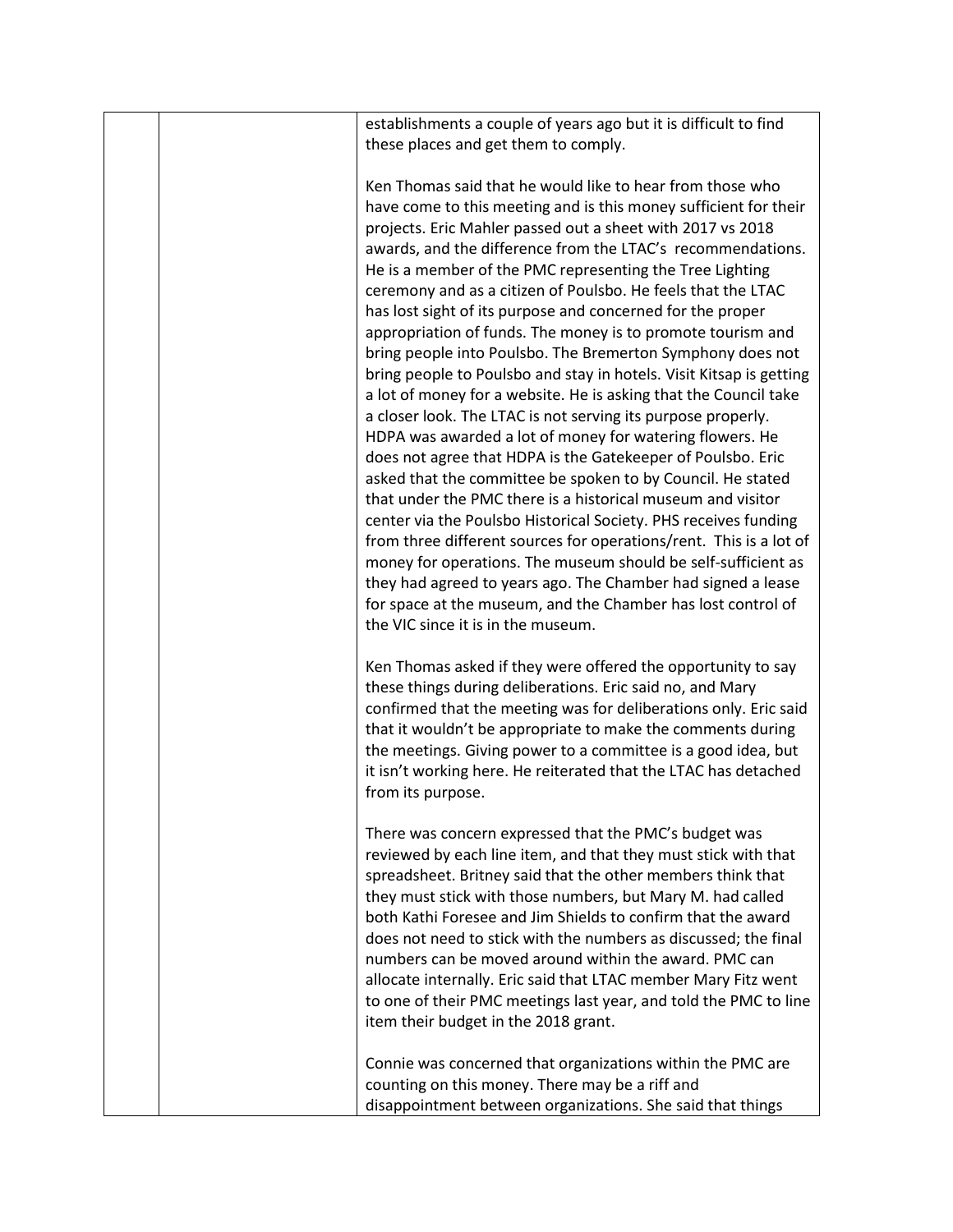| establishments a couple of years ago but it is difficult to find |  |
|------------------------------------------------------------------|--|
| these places and get them to comply.                             |  |

Ken Thomas said that he would like to hear from those who have come to this meeting and is this money sufficient for their projects. Eric Mahler passed out a sheet with 2017 vs 2018 awards, and the difference from the LTAC's recommendations. He is a member of the PMC representing the Tree Lighting ceremony and as a citizen of Poulsbo. He feels that the LTAC has lost sight of its purpose and concerned for the proper appropriation of funds. The money is to promote tourism and bring people into Poulsbo. The Bremerton Symphony does not bring people to Poulsbo and stay in hotels. Visit Kitsap is getting a lot of money for a website. He is asking that the Council take a closer look. The LTAC is not serving its purpose properly. HDPA was awarded a lot of money for watering flowers. He does not agree that HDPA is the Gatekeeper of Poulsbo. Eric asked that the committee be spoken to by Council. He stated that under the PMC there is a historical museum and visitor center via the Poulsbo Historical Society. PHS receives funding from three different sources for operations/rent. This is a lot of money for operations. The museum should be self-sufficient as they had agreed to years ago. The Chamber had signed a lease for space at the museum, and the Chamber has lost control of the VIC since it is in the museum.

Ken Thomas asked if they were offered the opportunity to say these things during deliberations. Eric said no, and Mary confirmed that the meeting was for deliberations only. Eric said that it wouldn't be appropriate to make the comments during the meetings. Giving power to a committee is a good idea, but it isn't working here. He reiterated that the LTAC has detached from its purpose.

There was concern expressed that the PMC's budget was reviewed by each line item, and that they must stick with that spreadsheet. Britney said that the other members think that they must stick with those numbers, but Mary M. had called both Kathi Foresee and Jim Shields to confirm that the award does not need to stick with the numbers as discussed; the final numbers can be moved around within the award. PMC can allocate internally. Eric said that LTAC member Mary Fitz went to one of their PMC meetings last year, and told the PMC to line item their budget in the 2018 grant.

Connie was concerned that organizations within the PMC are counting on this money. There may be a riff and disappointment between organizations. She said that things